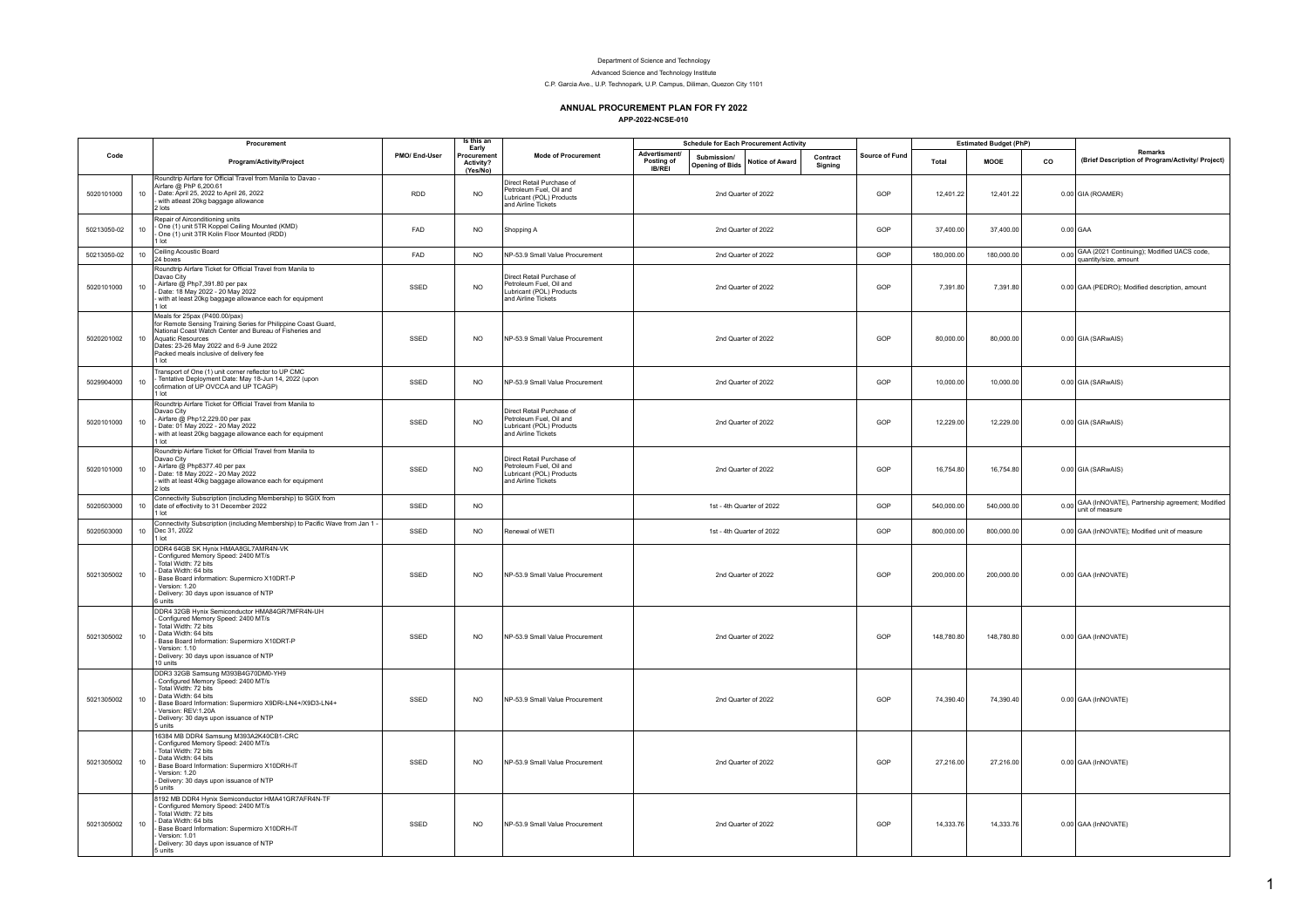## Department of Science and Technology

Advanced Science and Technology Institute

C.P. Garcia Ave., U.P. Technopark, U.P. Campus, Diliman, Quezon City 1101

## **ANNUAL PROCUREMENT PLAN FOR FY 2022**

**APP-2022-NCSE-010**

|             |                  | Procurement                                                                                                                                                                                                                                                                   |               | Is this an<br>Early                 |                                                                                                         |                                                     |                                       | <b>Schedule for Each Procurement Activity</b> |                     |                |            | <b>Estimated Budget (PhP)</b> |    |                                                                          |
|-------------|------------------|-------------------------------------------------------------------------------------------------------------------------------------------------------------------------------------------------------------------------------------------------------------------------------|---------------|-------------------------------------|---------------------------------------------------------------------------------------------------------|-----------------------------------------------------|---------------------------------------|-----------------------------------------------|---------------------|----------------|------------|-------------------------------|----|--------------------------------------------------------------------------|
| Code        |                  | Program/Activity/Project                                                                                                                                                                                                                                                      | PMO/ End-User | Procuremen<br>Activity?<br>(Yes/No) | <b>Mode of Procurement</b>                                                                              | <b>Advertisment/</b><br>Posting of<br><b>IB/REI</b> | Submission/<br><b>Opening of Bids</b> | <b>Notice of Award</b>                        | Contract<br>Signing | Source of Fund | Total      | <b>MOOE</b>                   | co | <b>Remarks</b><br>(Brief Description of Program/Activity/ Project)       |
| 5020101000  | 10               | Roundtrip Airfare for Official Travel from Manila to Davao -<br>Airfare @ PhP 6.200.61<br>- Date: April 25, 2022 to April 26, 2022<br>with atleast 20kg baggage allowance<br>2 lots                                                                                           | <b>RDD</b>    | <b>NO</b>                           | Direct Retail Purchase of<br>Petroleum Fuel, Oil and<br>Lubricant (POL) Products<br>and Airline Tickets |                                                     |                                       | 2nd Quarter of 2022                           |                     | GOP            | 12,401.22  | 12,401.22                     |    | 0.00 GIA (ROAMER)                                                        |
| 50213050-02 | 10 <sub>1</sub>  | Repair of Airconditioning units<br>- One (1) unit 5TR Koppel Ceiling Mounted (KMD)<br>One (1) unit 3TR Kolin Floor Mounted (RDD)<br>1 lot                                                                                                                                     | FAD           | NO.                                 | Shopping A                                                                                              |                                                     |                                       | 2nd Quarter of 2022                           |                     | GOP            | 37,400.00  | 37,400.00                     |    | $0.00$ GAA                                                               |
| 50213050-02 | 10 <sub>1</sub>  | Ceiling Acoustic Board<br>24 boxes                                                                                                                                                                                                                                            | FAD           | <b>NO</b>                           | NP-53.9 Small Value Procurement                                                                         |                                                     |                                       | 2nd Quarter of 2022                           |                     | GOP            | 180,000.00 | 180,000.00                    |    | 0.00 GAA (2021 Continuing); Modified UACS code,<br>quantity/size, amount |
| 5020101000  | 10               | Roundtrip Airfare Ticket for Official Travel from Manila to<br>Davan City<br>- Airfare @ Php7,391.80 per pax<br>Date: 18 May 2022 - 20 May 2022<br>with at least 20kg baggage allowance each for equipment<br>1 lot                                                           | SSED          | NO                                  | Direct Retail Purchase of<br>Petroleum Fuel, Oil and<br>Lubricant (POL) Products<br>and Airline Tickets |                                                     |                                       | 2nd Quarter of 2022                           |                     | GOP            | 7,391.80   | 7,391.80                      |    | 0.00 GAA (PEDRO); Modified description, amount                           |
| 5020201002  | 10 <sub>1</sub>  | Meals for 25pax (P400.00/pax)<br>for Remote Sensing Training Series for Philippine Coast Guard,<br>National Coast Watch Center and Bureau of Fisheries and<br>Aquatic Resources<br>Dates: 23-26 May 2022 and 6-9 June 2022<br>Packed meals inclusive of delivery fee<br>1 lot | SSED          | NO                                  | NP-53.9 Small Value Procurement                                                                         |                                                     |                                       | 2nd Quarter of 2022                           |                     | GOP            | 80,000.00  | 80,000.00                     |    | 0.00 GIA (SARwAIS)                                                       |
| 5029904000  | 10               | Transport of One (1) unit corner reflector to UP CMC<br>Tentative Deployment Date: May 18-Jun 14, 2022 (upon<br>cofirmation of UP OVCCA and UP TCAGP)<br>1 lot                                                                                                                | SSED          | <b>NO</b>                           | NP-53.9 Small Value Procurement                                                                         |                                                     |                                       | 2nd Quarter of 2022                           |                     | GOP            | 10,000.00  | 10,000.00                     |    | 0.00 GIA (SARwAIS)                                                       |
| 5020101000  | 10               | Roundtrip Airfare Ticket for Official Travel from Manila to<br>Davao City<br>- Airfare @ Php12,229.00 per pax<br>Date: 01 May 2022 - 20 May 2022<br>with at least 20kg baggage allowance each for equipment<br>1 lot                                                          | SSED          | <b>NO</b>                           | Direct Retail Purchase of<br>Petroleum Fuel, Oil and<br>Lubricant (POL) Products<br>and Airline Tickets |                                                     |                                       | 2nd Quarter of 2022                           |                     | GOP            | 12,229.00  | 12,229.00                     |    | 0.00 GIA (SARwAIS)                                                       |
| 5020101000  | 10               | Roundtrip Airfare Ticket for Official Travel from Manila to<br>Davao City<br>- Airfare @ Php8377.40 per pax<br>Date: 18 May 2022 - 20 May 2022<br>with at least 40kg baggage allowance each for equipment<br>2 lots                                                           | SSED          | <b>NO</b>                           | Direct Retail Purchase of<br>Petroleum Fuel, Oil and<br>Lubricant (POL) Products<br>and Airline Tickets |                                                     |                                       | 2nd Quarter of 2022                           |                     | GOP            | 16,754.80  | 16,754.80                     |    | 0.00 GIA (SARwAIS)                                                       |
| 5020503000  | 10 <sup>10</sup> | Connectivity Subscription (including Membership) to SGIX from<br>date of effectivity to 31 December 2022<br>1 lot                                                                                                                                                             | SSED          | <b>NO</b>                           |                                                                                                         |                                                     |                                       | 1st - 4th Quarter of 2022                     |                     | GOP            | 540,000.00 | 540,000.00                    |    | 0.00 GAA (InNOVATE), Partnership agreement; Modified<br>unit of measure  |
| 5020503000  | 10 <sub>1</sub>  | Connectivity Subscription (including Membership) to Pacific Wave from Jan 1 -<br>Dec 31, 2022<br>1 lot                                                                                                                                                                        | SSED          | <b>NO</b>                           | Renewal of WETI                                                                                         |                                                     |                                       | 1st - 4th Quarter of 2022                     |                     | GOP            | 800,000.00 | 800,000.00                    |    | 0.00 GAA (InNOVATE); Modified unit of measure                            |
| 5021305002  | 10               | DDR4 64GB SK Hynix HMAA8GL7AMR4N-VK<br>Configured Memory Speed: 2400 MT/s<br>Total Width: 72 bits<br>Data Width: 64 bits<br>Base Board information: Supermicro X10DRT-P<br>Version: 1.20<br>Delivery: 30 days upon issuance of NTP<br>6 units                                 | SSED          | <b>NO</b>                           | NP-53.9 Small Value Procurement                                                                         |                                                     |                                       | 2nd Quarter of 2022                           |                     | GOP            | 200,000.00 | 200,000.00                    |    | 0.00 GAA (InNOVATE)                                                      |
| 5021305002  | 10 <sup>1</sup>  | DDR4 32GB Hynix Semiconductor HMA84GR7MFR4N-UH<br>Configured Memory Speed: 2400 MT/s<br>Total Width: 72 bits<br>Data Width: 64 bits<br>Base Board Information: Supermicro X10DRT-P<br>Version: 1.10<br>Delivery: 30 days upon issuance of NTP<br>10 units                     | SSED          | <b>NO</b>                           | NP-53.9 Small Value Procurement                                                                         |                                                     |                                       | 2nd Quarter of 2022                           |                     | GOP            | 148,780.80 | 148,780.80                    |    | 0.00 GAA (InNOVATE)                                                      |
| 5021305002  | 10 <sup>1</sup>  | DDR3 32GB Samsung M393B4G70DM0-YH9<br>Configured Memory Speed: 2400 MT/s<br>Total Width: 72 bits<br>Data Width: 64 bits<br>Base Board Information: Supermicro X9DRi-LN4+/X9D3-LN4+<br>Version: REV:1.20A<br>Delivery: 30 days upon issuance of NTP<br>5 units                 | SSED          | N <sub>O</sub>                      | NP-53.9 Small Value Procurement                                                                         |                                                     |                                       | 2nd Quarter of 2022                           |                     | GOP            | 74.390.40  | 74.390.40                     |    | 0.00 GAA (InNOVATE)                                                      |
| 5021305002  | 10               | 16384 MB DDR4 Samsung M393A2K40CB1-CRC<br>Configured Memory Speed: 2400 MT/s<br>Total Width: 72 bits<br>Data Width: 64 bits<br>Base Board Information: Supermicro X10DRH-iT<br>Version: 1.20<br>Delivery: 30 days upon issuance of NTP<br>5 units                             | SSED          | NO                                  | NP-53.9 Small Value Procurement                                                                         |                                                     |                                       | 2nd Quarter of 2022                           |                     | GOP            | 27,216.00  | 27,216.00                     |    | 0.00 GAA (InNOVATE)                                                      |
| 5021305002  | 10               | 8192 MB DDR4 Hynix Semiconductor HMA41GR7AFR4N-TF<br>Configured Memory Speed: 2400 MT/s<br>Total Width: 72 bits<br>Data Width: 64 bits<br>Base Board Information: Supermicro X10DRH-iT<br>Version: 1.01<br>Delivery: 30 days upon issuance of NTP<br>5 units                  | SSED          | <b>NO</b>                           | NP-53.9 Small Value Procurement                                                                         |                                                     |                                       | 2nd Quarter of 2022                           |                     | GOP            | 14,333.76  | 14,333.76                     |    | 0.00 GAA (InNOVATE)                                                      |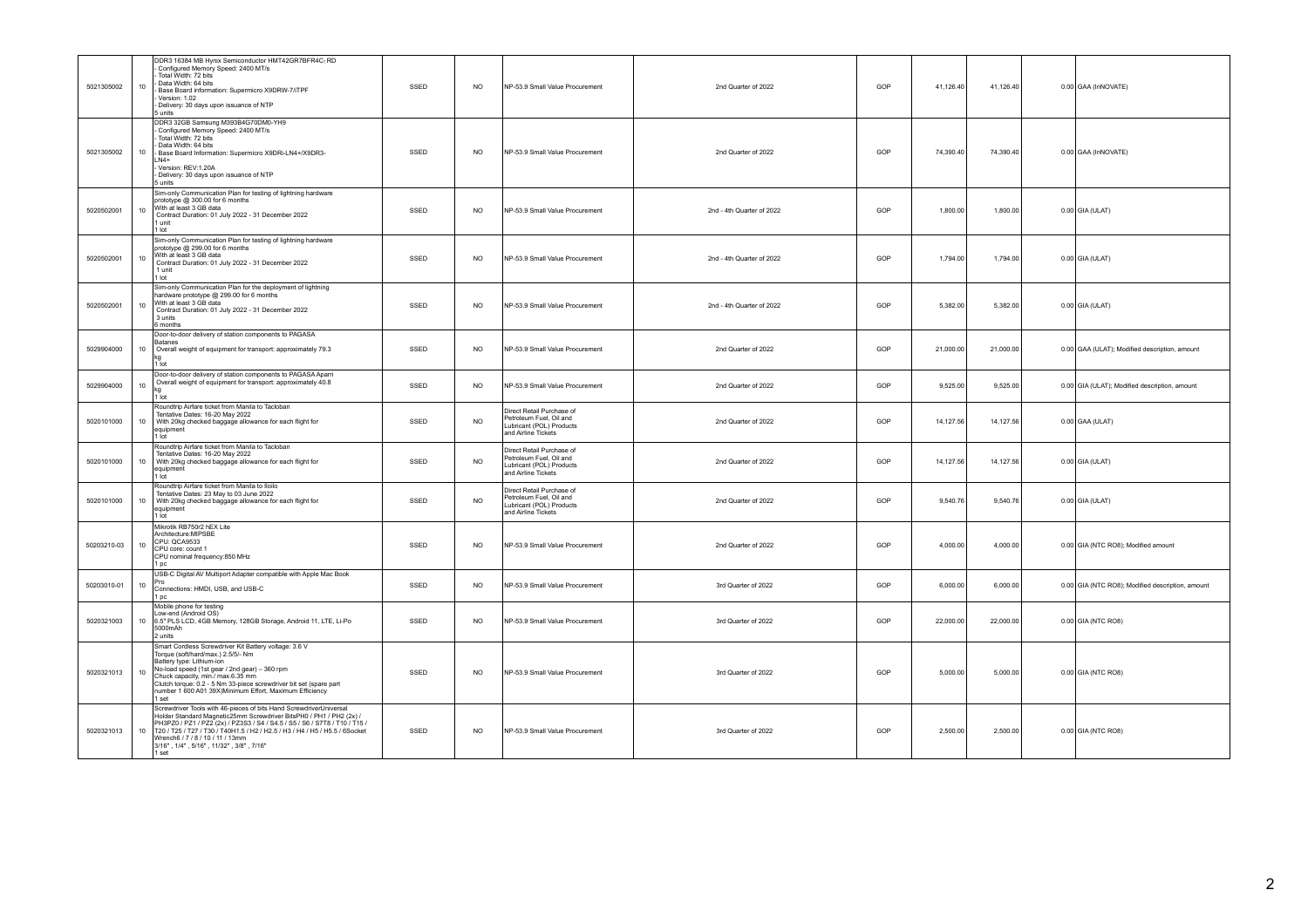| 5021305002  | 10              | DDR3 16384 MB Hynix Semiconductor HMT42GR7BFR4C <sub>1</sub> RD<br>Configured Memory Speed: 2400 MT/s<br>Total Width: 72 bits<br>Data Width: 64 bits<br>Base Board information: Supermicro X9DRW-7/iTPF<br>Version: 1.02<br>Delivery: 30 days upon issuance of NTP<br>5 units                                                                                                                  | SSED | <b>NO</b>      | NP-53.9 Small Value Procurement                                                                         | 2nd Quarter of 2022       | GOP | 41.126.40 | 41.126.40 | 0.00 GAA (InNOVATE)                              |
|-------------|-----------------|------------------------------------------------------------------------------------------------------------------------------------------------------------------------------------------------------------------------------------------------------------------------------------------------------------------------------------------------------------------------------------------------|------|----------------|---------------------------------------------------------------------------------------------------------|---------------------------|-----|-----------|-----------|--------------------------------------------------|
| 5021305002  | 10              | DDR3 32GB Samsung M393B4G70DM0-YH9<br>Configured Memory Speed: 2400 MT/s<br>Total Width: 72 bits<br>Data Width: 64 bits<br>Base Board Information: Supermicro X9DRi-LN4+/X9DR3-<br>$N4+$<br>Version: RFV:1 20A<br>Delivery: 30 days upon issuance of NTP<br>5 units                                                                                                                            | SSED | <b>NO</b>      | NP-53.9 Small Value Procurement                                                                         | 2nd Quarter of 2022       | GOP | 74,390.40 | 74,390.40 | 0.00 GAA (InNOVATE)                              |
| 5020502001  | 10              | Sim-only Communication Plan for testing of lightning hardware<br>prototype @ 300.00 for 6 months<br>With at least 3 GB data<br>Contract Duration: 01 July 2022 - 31 December 2022<br>1 unit<br>1 Int                                                                                                                                                                                           | SSED | <b>NO</b>      | NP-53.9 Small Value Procurement                                                                         | 2nd - 4th Quarter of 2022 | GOP | 1,800.00  | 1,800.00  | $0.00$ GIA (ULAT)                                |
| 5020502001  | 10              | Sim-only Communication Plan for testing of lightning hardware<br>prototype @ 299.00 for 6 months<br>With at least 3 GB data<br>Contract Duration: 01 July 2022 - 31 December 2022<br>1 unit<br>$1$ Int                                                                                                                                                                                         | SSED | <b>NO</b>      | NP-53.9 Small Value Procurement                                                                         | 2nd - 4th Quarter of 2022 | GOP | 1,794.00  | 1,794.00  | $0.00$ GIA (ULAT)                                |
| 5020502001  | 10              | Sim-only Communication Plan for the deployment of lightning<br>hardware prototype @ 299.00 for 6 months<br>With at least 3 GB data<br>Contract Duration: 01 July 2022 - 31 December 2022<br>3 units<br>6 months                                                                                                                                                                                | SSED | <b>NO</b>      | NP-53.9 Small Value Procurement                                                                         | 2nd - 4th Quarter of 2022 | GOP | 5,382.00  | 5,382.00  | $0.00$ GIA (ULAT)                                |
| 5029904000  | 10              | Door-to-door delivery of station components to PAGASA<br>Batanes<br>Overall weight of equipment for transport: approximately 79.3<br>1 lot                                                                                                                                                                                                                                                     | SSED | <b>NO</b>      | NP-53.9 Small Value Procurement                                                                         | 2nd Quarter of 2022       | GOP | 21,000.00 | 21,000.00 | 0.00 GAA (ULAT); Modified description, amount    |
| 5029904000  | 10              | Door-to-door delivery of station components to PAGASA Aparri<br>Overall weight of equipment for transport: approximately 40.8<br>1 lot                                                                                                                                                                                                                                                         | SSED | <b>NO</b>      | NP-53.9 Small Value Procurement                                                                         | 2nd Quarter of 2022       | GOP | 9,525.00  | 9,525.00  | 0.00 GIA (ULAT); Modified description, amount    |
| 5020101000  | 10 <sup>1</sup> | Roundtrip Airfare ticket from Manila to Tacloban<br>Tentative Dates: 16-20 May 2022<br>With 20kg checked baggage allowance for each flight for<br>equipment<br>1 lot                                                                                                                                                                                                                           | SSED | N <sub>O</sub> | Direct Retail Purchase of<br>Petroleum Fuel, Oil and<br>Lubricant (POL) Products<br>and Airline Tickets | 2nd Quarter of 2022       | GOP | 14,127.56 | 14.127.56 | $0.00$ GAA (ULAT)                                |
| 5020101000  |                 | Roundtrip Airfare ticket from Manila to Tacloban<br>Tentative Dates: 16-20 May 2022<br>10   With 20kg checked baggage allowance for each flight for<br>equipment<br>1 lot                                                                                                                                                                                                                      | SSED | <b>NO</b>      | Direct Retail Purchase of<br>Petroleum Fuel, Oil and<br>Lubricant (POL) Products<br>and Airline Tickets | 2nd Quarter of 2022       | GOP | 14.127.56 | 14.127.56 | $0.00$ GIA (ULAT)                                |
| 5020101000  | 10              | Roundtrip Airfare ticket from Manila to Iloilo<br>Tentative Dates: 23 May to 03 June 2022<br>With 20kg checked baggage allowance for each flight for<br>equipment<br>1 lot                                                                                                                                                                                                                     | SSED | <b>NO</b>      | Direct Retail Purchase of<br>Petroleum Fuel, Oil and<br>Lubricant (POL) Products<br>and Airline Tickets | 2nd Quarter of 2022       | GOP | 9,540.76  | 9,540.76  | $0.00$ GIA (ULAT)                                |
| 50203210-03 | 10              | Mikrotik RB750r2 hEX Lite<br>Architecture:MIPSBE<br>CPU: QCA9533<br>CPU core: count 1<br>CPU nominal frequency:850 MHz<br>1 <sub>pc</sub>                                                                                                                                                                                                                                                      | SSED | <b>NO</b>      | NP-53.9 Small Value Procurement                                                                         | 2nd Quarter of 2022       | GOP | 4,000.00  | 4,000.00  | 0.00 GIA (NTC RO8); Modified amount              |
| 50203010-01 | 10              | USB-C Digital AV Multiport Adapter compatible with Apple Mac Book<br>Pro.<br>Connections: HMDI, USB, and USB-C<br>1 pc                                                                                                                                                                                                                                                                         | SSED | <b>NO</b>      | NP-53.9 Small Value Procurement                                                                         | 3rd Quarter of 2022       | GOP | 6,000.00  | 6,000.00  | 0.00 GIA (NTC RO8); Modified description, amount |
| 5020321003  | 10              | Mobile phone for testing<br>Low-end (Android OS)<br>6.5" PLS LCD, 4GB Memory, 128GB Storage, Android 11, LTE, Li-Po<br>5000mAh<br>2 units                                                                                                                                                                                                                                                      | SSED | <b>NO</b>      | NP-53.9 Small Value Procurement                                                                         | 3rd Quarter of 2022       | GOP | 22,000.00 | 22,000.00 | 0.00 GIA (NTC RO8)                               |
| 5020321013  | 10              | Smart Cordless Screwdriver Kit Battery voltage: 3.6 V<br>Torque (soft/hard/max.) 2.5/5/- Nm<br>Battery type: Lithium-ion<br>No-load speed (1st gear / 2nd gear) - 360 rpm<br>Chuck capacity, min./ max.6.35 mm<br>Clutch torque: 0.2 - 5 Nm 33-piece screwdriver bit set (spare part number 1 600 A01 39X)Minimum Effort, Maximum Efficiency<br>1 set                                          | SSED | N <sub>O</sub> | NP-53.9 Small Value Procurement                                                                         | 3rd Quarter of 2022       | GOP | 5,000.00  | 5,000.00  | 0.00 GIA (NTC RO8)                               |
| 5020321013  | 10 <sup>1</sup> | Screwdriver Tools with 46-pieces of bits Hand ScrewdriverUniversal<br>Holder Standard Magnetic25mm Screwdriver BitsPH0 / PH1 / PH2 (2x) /<br>PH3PZ0 / PZ1 / PZ2 (2x) / PZ3S3 / S4 / S4.5 / S5 / S6 / S7T8 / T10 / T15 /<br>T20 / T25 / T27 / T30 / T40H1.5 / H2 / H2.5 / H3 / H4 / H5 / H5.5 / 6Socket<br>Wrench6 / 7 / 8 / 10 / 11 / 13mm<br>3/16", 1/4", 5/16", 11/32", 3/8", 7/16"<br>1 set | SSED | N <sub>O</sub> | NP-53.9 Small Value Procurement                                                                         | 3rd Quarter of 2022       | GOP | 2,500.00  | 2,500.00  | 0.00 GIA (NTC RO8)                               |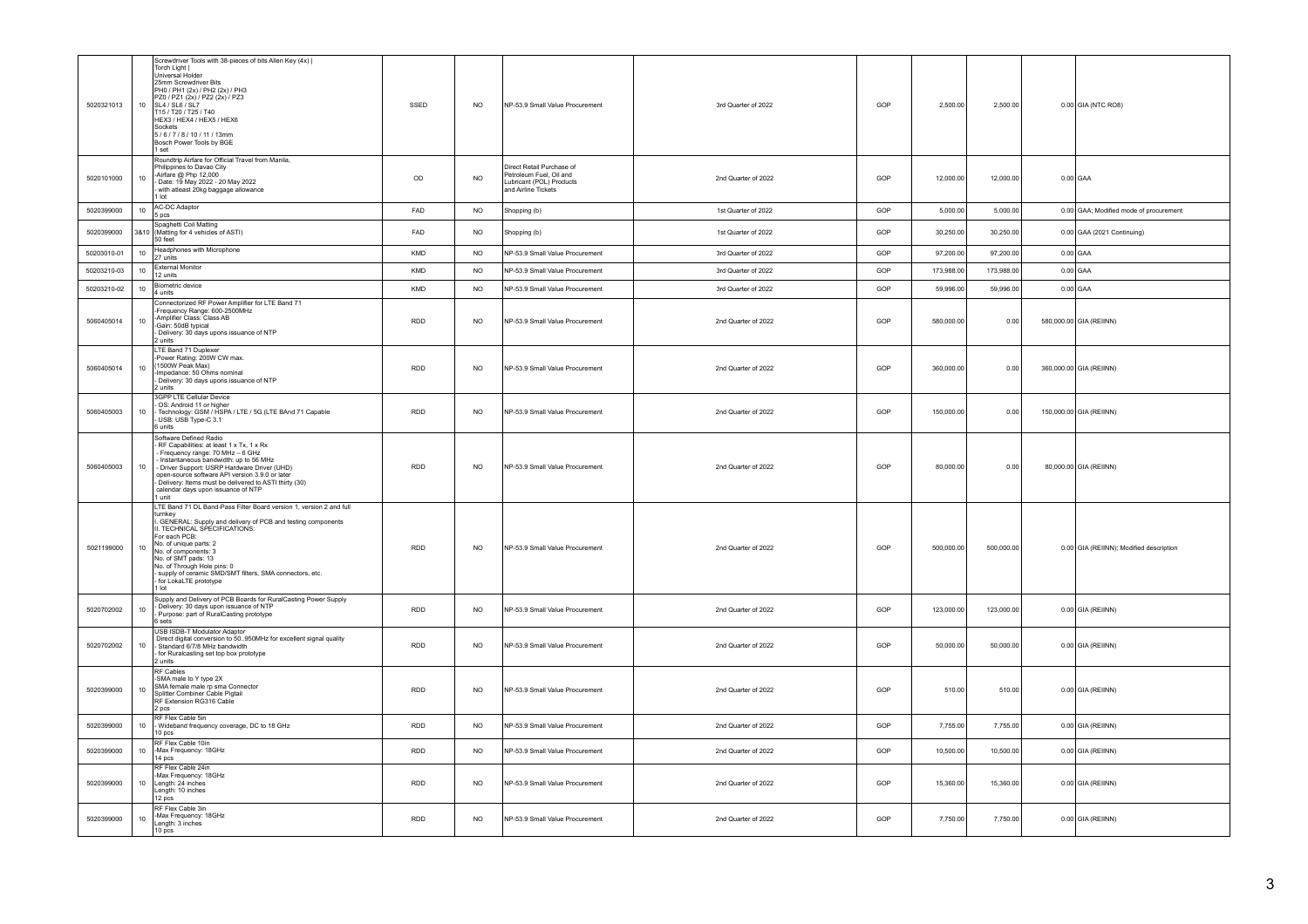| 5020321013  | 10      | Screwdriver Tools with 38-pieces of bits Allen Key (4x)  <br>Torch Light I<br>Universal Holder<br>25mm Screwdriver Bits<br>PH0 / PH1 (2x) / PH2 (2x) / PH3<br>PZ0 / PZ1 (2x) / PZ2 (2x) / PZ3<br>SL4/SL6/SL7<br>T15 / T20 / T25 / T40<br>HEX3 / HEX4 / HEX5 / HEX6<br>Sockets<br>5/6/7/8/10/11/13mm<br>Bosch Power Tools by BGE<br>1 set                                                             | SSED        | <b>NO</b>      | NP-53.9 Small Value Procurement                                                                         | 3rd Quarter of 2022 | GOP | 2,500.00   | 2,500.00   | 0.00 GIA (NTC RO8)                      |
|-------------|---------|------------------------------------------------------------------------------------------------------------------------------------------------------------------------------------------------------------------------------------------------------------------------------------------------------------------------------------------------------------------------------------------------------|-------------|----------------|---------------------------------------------------------------------------------------------------------|---------------------|-----|------------|------------|-----------------------------------------|
| 5020101000  | 10      | Roundtrip Airfare for Official Travel from Manila,<br>Philippines to Davao City<br>Airfare @ Php 12,000<br>Date: 19 May 2022 - 20 May 2022<br>with atleast 20kg baggage allowance<br>$1$ Int                                                                                                                                                                                                         | $_{\sf OD}$ | <b>NO</b>      | Direct Retail Purchase of<br>Petroleum Fuel, Oil and<br>Lubricant (POL) Products<br>and Airline Tickets | 2nd Quarter of 2022 | GOP | 12,000.00  | 12,000.00  | $0.00$ GAA                              |
| 5020399000  | $10-10$ | AC-DC Adaptor<br>5 pcs                                                                                                                                                                                                                                                                                                                                                                               | FAD         | <b>NO</b>      | Shopping (b)                                                                                            | 1st Quarter of 2022 | GOP | 5,000.00   | 5,000.00   | 0.00 GAA; Modified mode of procurement  |
| 5020399000  |         | Spaghetti Coil Matting<br>3&10 (Matting for 4 vehicles of ASTI)<br>50 feet                                                                                                                                                                                                                                                                                                                           | FAD         | N <sub>O</sub> | Shopping (b)                                                                                            | 1st Quarter of 2022 | GOP | 30,250.00  | 30,250.00  | 0.00 GAA (2021 Continuing)              |
| 50203010-01 | 10      | Headphones with Microphone<br>27 units                                                                                                                                                                                                                                                                                                                                                               | <b>KMD</b>  | N <sub>O</sub> | NP-53.9 Small Value Procurement                                                                         | 3rd Quarter of 2022 | GOP | 97,200.00  | 97,200.00  | $0.00$ GAA                              |
| 50203210-03 | 10      | External Monitor<br>12 units                                                                                                                                                                                                                                                                                                                                                                         | KMD         | N <sub>O</sub> | NP-53.9 Small Value Procurement                                                                         | 3rd Quarter of 2022 | GOP | 173,988.00 | 173,988.00 | $0.00$ GAA                              |
| 50203210-02 | 10      | Biometric device<br>4 units                                                                                                                                                                                                                                                                                                                                                                          | KMD         | <b>NO</b>      | NP-53.9 Small Value Procurement                                                                         | 3rd Quarter of 2022 | GOP | 59,996.00  | 59,996.00  | $0.00$ GAA                              |
| 5060405014  | 10      | Connectorized RF Power Amplifier for LTE Band 71<br>-Frequency Range: 600-2500MHz<br>-Amplifier Class: Class AB<br>Gain: 50dB typical<br>Delivery: 30 days upons issuance of NTP<br>2 units                                                                                                                                                                                                          | <b>RDD</b>  | <b>NO</b>      | NP-53.9 Small Value Procurement                                                                         | 2nd Quarter of 2022 | GOP | 580,000.00 | 0.00       | 580,000.00 GIA (REIINN)                 |
| 5060405014  | 10      | LTE Band 71 Duplexer<br>Power Rating: 200W CW max.<br>(1500W Peak Max)<br>Impedance: 50 Ohms nominal<br>Delivery: 30 days upons issuance of NTP<br>2 units                                                                                                                                                                                                                                           | <b>RDD</b>  | <b>NO</b>      | NP-53.9 Small Value Procurement                                                                         | 2nd Quarter of 2022 | GOP | 360,000.00 | 0.00       | 360,000.00 GIA (REIINN)                 |
| 5060405003  | 10      | 3GPP LTE Cellular Device<br>- OS: Android 11 or higher<br>- OS: Android 11 or higher<br>- Technology: GSM / HSPA / LTE / 5G (LTE BAnd 71 Capable<br>USB: USB Type-C 3.1<br>6 units                                                                                                                                                                                                                   | <b>RDD</b>  | <b>NO</b>      | NP-53.9 Small Value Procurement                                                                         | 2nd Quarter of 2022 | GOP | 150,000.00 | 0.00       | 150,000.00 GIA (REIINN)                 |
| 5060405003  | 10      | Software Defined Radio<br>RF Capabilities: at least 1 x Tx, 1 x Rx<br>- Frequency range: 70 MHz - 6 GHz<br>- Instantaneous bandwidth: up to 56 MHz<br>- Driver Support: USRP Hardware Driver (UHD)<br>open-source software API version 3.9.0 or later<br>Delivery: Items must be delivered to ASTI thirty (30)<br>calendar days upon issuance of NTP<br>1 unit                                       | <b>RDD</b>  | <b>NO</b>      | NP-53.9 Small Value Procurement                                                                         | 2nd Quarter of 2022 | GOP | 80,000.00  | 0.00       | 80,000.00 GIA (REIINN)                  |
| 5021199000  | 10      | LTE Band 71 DL Band-Pass Filter Board version 1, version 2 and full<br>turnkev<br>GENERAL: Supply and delivery of PCB and testing components<br>I. TECHNICAL SPECIFICATIONS:<br>For each PCB:<br>No. of unique parts: 2<br>No. of components: 3<br>No. of SMT pads: 13<br>No. of Through Hole pins: 0<br>supply of ceramic SMD/SMT filters, SMA connectors, etc.<br>for LokaLTE prototype<br>$1$ Int | <b>RDD</b>  | <b>NO</b>      | NP-53.9 Small Value Procurement                                                                         | 2nd Quarter of 2022 | GOP | 500,000.00 | 500,000.00 | 0.00 GIA (REIINN); Modified description |
| 5020702002  | 10      | Supply and Delivery of PCB Boards for RuralCasting Power Supply<br>Delivery: 30 days upon issuance of NTP<br>Purpose: part of RuralCasting prototype<br>6 sets                                                                                                                                                                                                                                       | <b>RDD</b>  | <b>NO</b>      | NP-53.9 Small Value Procurement                                                                         | 2nd Quarter of 2022 | GOP | 123,000.00 | 123,000.00 | 0.00 GIA (REIINN)                       |
| 5020702002  | 10      | USB ISDB-T Modulator Adaptor<br>Direct digital conversion to 50950MHz for excellent signal quality<br>- Standard 6/7/8 MHz bandwidth<br>for Ruralcasting set top box prototype<br>2 units                                                                                                                                                                                                            | <b>RDD</b>  | N <sub>O</sub> | NP-53 9 Small Value Procurement                                                                         | 2nd Quarter of 2022 | GOP | 50,000.00  | 50,000.00  | 0.00 GIA (REIINN)                       |
| 5020399000  | 10      | RF Cables<br>SMA male to Y type 2X<br>SMA female male rp sma Connector<br>Splitter Combiner Cable Pigtail<br>RF Extension RG316 Cable<br>2 pcs                                                                                                                                                                                                                                                       | <b>RDD</b>  | <b>NO</b>      | NP-53.9 Small Value Procurement                                                                         | 2nd Quarter of 2022 | GOP | 510.00     | 510.00     | 0.00 GIA (REIINN)                       |
| 5020399000  | 10      | RF Flex Cable 5in<br>- Wideband frequency coverage, DC to 18 GHz<br>10 pcs                                                                                                                                                                                                                                                                                                                           | RDD         | <b>NO</b>      | NP-53.9 Small Value Procurement                                                                         | 2nd Quarter of 2022 | GOP | 7,755.00   | 7,755.00   | 0.00 GIA (REIINN)                       |
| 5020399000  | 10      | RF Flex Cable 10in<br>-Max Frequency: 18GHz<br>14 pcs                                                                                                                                                                                                                                                                                                                                                | <b>RDD</b>  | <b>NO</b>      | NP-53.9 Small Value Procurement                                                                         | 2nd Quarter of 2022 | GOP | 10,500.00  | 10,500.00  | $0.00$ GIA (REIINN)                     |
| 5020399000  | 10      | RF Flex Cable 24in<br>Max Frequency: 18GHz<br>Length: 24 inches<br>Length: 10 inches<br>12 pcs                                                                                                                                                                                                                                                                                                       | <b>RDD</b>  | NO.            | NP-53.9 Small Value Procurement                                                                         | 2nd Quarter of 2022 | GOP | 15,360.00  | 15,360.00  | 0.00 GIA (REIINN)                       |
| 5020399000  | 10      | RF Flex Cable 3in<br>Max Frequency: 18GHz<br>Length: 3 inches<br>10 pcs                                                                                                                                                                                                                                                                                                                              | <b>RDD</b>  | NO.            | NP-53 9 Small Value Procurement                                                                         | 2nd Quarter of 2022 | GOP | 7.750.00   | 7.750.00   | $0.00$ GIA (REIINN)                     |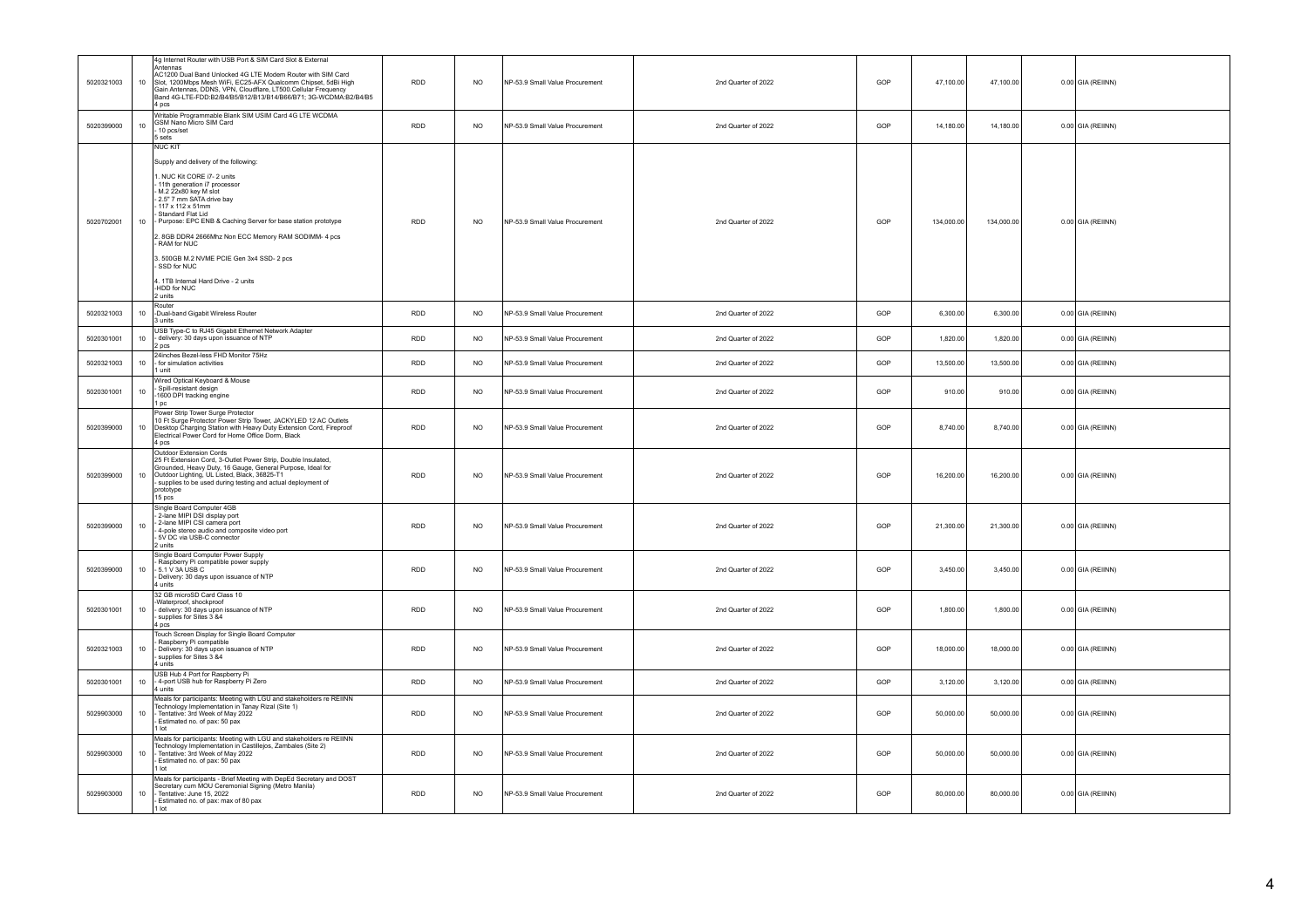|            |                 | 4g Internet Router with USB Port & SIM Card Slot & External                                                                                                                                                                                                                                                                                                                                                                                                                             |            |                |                                 |                     |     |                          |        |                     |
|------------|-----------------|-----------------------------------------------------------------------------------------------------------------------------------------------------------------------------------------------------------------------------------------------------------------------------------------------------------------------------------------------------------------------------------------------------------------------------------------------------------------------------------------|------------|----------------|---------------------------------|---------------------|-----|--------------------------|--------|---------------------|
| 5020321003 | 10 <sub>1</sub> | Antennas<br>AC1200 Dual Band Unlocked 4G LTE Modem Router with SIM Card<br>Slot, 1200Mbps Mesh WiFi, EC25-AFX Qualcomm Chipset, 5dBi High<br>Gain Antennas, DDNS, VPN, Cloudflare, LT500 Cellular Frequency<br>Band 4G-LTE-FDD:B2/B4/B5/B12/B13/B14/B66/B71; 3G-WCDMA:B2/B4/B5<br>4 pcs                                                                                                                                                                                                 | <b>RDD</b> | <b>NO</b>      | NP-53.9 Small Value Procurement | 2nd Quarter of 2022 | GOP | 47,100.00<br>47,100.00   |        | $0.00$ GIA (REIINN) |
| 5020399000 | 10 <sup>1</sup> | Writable Programmable Blank SIM USIM Card 4G LTE WCDMA<br>GSM Nano Micro SIM Card<br>10 pcs/set<br>5 sets                                                                                                                                                                                                                                                                                                                                                                               | <b>RDD</b> | <b>NO</b>      | NP-53.9 Small Value Procurement | 2nd Quarter of 2022 | GOP | 14,180.00<br>14,180.00   |        | 0.00 GIA (REIINN)   |
| 5020702001 | 10 <sup>1</sup> | <b>NUC KIT</b><br>Supply and delivery of the following:<br>. NUC Kit CORE i7- 2 units<br>11th generation i7 processor<br>M.2 22x80 key M slot<br>2.5" 7 mm SATA drive bay<br>117 x 112 x 51mm<br>Standard Flat Lid<br>Purpose: EPC ENB & Caching Server for base station prototype<br>. 8GB DDR4 2666Mhz Non ECC Memory RAM SODIMM- 4 pcs<br>RAM for NUC<br>3. 500GB M.2 NVME PCIE Gen 3x4 SSD- 2 pcs<br>SSD for NUC<br>4. 1TB Internal Hard Drive - 2 units<br>-HDD for NUC<br>2 units | <b>RDD</b> | N <sub>O</sub> | NP-53 9 Small Value Procurement | 2nd Quarter of 2022 | GOP | 134,000.00<br>134,000.00 |        | $0.00$ GIA (REIINN) |
| 5020321003 | 10 <sup>1</sup> | Router<br>-Dual-band Gigabit Wireless Router<br>3 units                                                                                                                                                                                                                                                                                                                                                                                                                                 | <b>RDD</b> | <b>NO</b>      | NP-53.9 Small Value Procurement | 2nd Quarter of 2022 | GOP | 6,300.00<br>6,300.00     |        | 0.00 GIA (REIINN)   |
| 5020301001 | 10              | USB Type-C to RJ45 Gigabit Ethernet Network Adapter<br>delivery: 30 days upon issuance of NTP<br>2 pcs                                                                                                                                                                                                                                                                                                                                                                                  | <b>RDD</b> | <b>NO</b>      | NP-53.9 Small Value Procurement | 2nd Quarter of 2022 | GOP | 1,820.00<br>1,820.00     |        | $0.00$ GIA (REIINN) |
| 5020321003 | 10 <sub>1</sub> | 24inches Bezel-less FHD Monitor 75Hz<br>for simulation activities<br>1 unit                                                                                                                                                                                                                                                                                                                                                                                                             | <b>RDD</b> | <b>NO</b>      | NP-53.9 Small Value Procurement | 2nd Quarter of 2022 | GOP | 13,500.00<br>13,500.00   |        | 0.00 GIA (REIINN)   |
| 5020301001 | 10              | Wired Optical Keyboard & Mouse<br>Spill-resistant design<br>1600 DPI tracking engine<br>pc                                                                                                                                                                                                                                                                                                                                                                                              | RDD        | NO             | NP-53.9 Small Value Procurement | 2nd Quarter of 2022 | GOP | 910.00                   | 910.00 | $0.00$ GIA (REIINN) |
| 5020399000 | 10              | Power Strip Tower Surge Protector<br>10 Ft Surge Protector Power Strip Tower, JACKYLED 12 AC Outlets<br>Desktop Charging Station with Heavy Duty Extension Cord, Fireproof<br>Electrical Power Cord for Home Office Dorm, Black<br>4 pcs                                                                                                                                                                                                                                                | <b>RDD</b> | <b>NO</b>      | NP-53.9 Small Value Procurement | 2nd Quarter of 2022 | GOP | 8,740.00<br>8,740.00     |        | $0.00$ GIA (REIINN) |
| 5020399000 | 10 <sub>1</sub> | Outdoor Extension Cords<br>25 Ft Extension Cord, 3-Outlet Power Strip, Double Insulated,<br>Grounded, Heavy Duty, 16 Gauge, General Purpose, Ideal for<br>Outdoor Lighting, UL Listed, Black, 36825-T1<br>supplies to be used during testing and actual deployment of<br>prototype<br>15 pcs                                                                                                                                                                                            | <b>RDD</b> | <b>NO</b>      | NP-53.9 Small Value Procurement | 2nd Quarter of 2022 | GOP | 16,200.00<br>16,200.00   |        | 0.00 GIA (REIINN)   |
| 5020399000 | 10              | Single Board Computer 4GB<br>- 2-lane MIPI DSI display port<br>2-lane MIPI CSI camera port<br>4-pole stereo audio and composite video port<br>5V DC via USB-C connector<br>2 units                                                                                                                                                                                                                                                                                                      | <b>RDD</b> | <b>NO</b>      | NP-53.9 Small Value Procurement | 2nd Quarter of 2022 | GOP | 21,300.00<br>21,300.00   |        | 0.00 GIA (REIINN)   |
| 5020399000 | 10 <sub>1</sub> | Single Board Computer Power Supply<br>Raspberry Pi compatible power supply<br>5.1 V 3A USB C<br>Delivery: 30 days upon issuance of NTP<br>4 units                                                                                                                                                                                                                                                                                                                                       | <b>RDD</b> | <b>NO</b>      | NP-53.9 Small Value Procurement | 2nd Quarter of 2022 | GOP | 3,450.00<br>3,450.00     |        | 0.00 GIA (REIINN)   |
| 5020301001 | 10 <sup>1</sup> | 32 GB microSD Card Class 10<br>Waterproof, shockproof<br>delivery: 30 days upon issuance of NTP<br>supplies for Sites 3 &4<br>4 pcs                                                                                                                                                                                                                                                                                                                                                     | <b>RDD</b> | N <sub>O</sub> | NP-53.9 Small Value Procurement | 2nd Quarter of 2022 | GOP | 1,800.00<br>1,800.00     |        | 0.00 GIA (REIINN)   |
| 5020321003 | 10              | Touch Screen Display for Single Board Computer<br>Raspberry Pi compatible<br>Delivery: 30 days upon issuance of NTP<br>supplies for Sites 3 &4<br>4 units                                                                                                                                                                                                                                                                                                                               | <b>RDD</b> | <b>NO</b>      | NP-53.9 Small Value Procurement | 2nd Quarter of 2022 | GOP | 18,000.00<br>18,000.00   |        | $0.00$ GIA (REIINN) |
| 5020301001 | 10 <sub>1</sub> | USB Hub 4 Port for Raspberry Pi<br>4-port USB hub for Raspberry Pi Zero<br>4 units                                                                                                                                                                                                                                                                                                                                                                                                      | RDD        | <b>NO</b>      | NP-53.9 Small Value Procurement | 2nd Quarter of 2022 | GOP | 3,120.00<br>3,120.00     |        | 0.00 GIA (REIINN)   |
| 5029903000 | 10              | Meals for participants: Meeting with LGU and stakeholders re REIINN<br>Technology Implementation in Tanay Rizal (Site 1)<br>- Tentative: 3rd Week of May 2022<br>Estimated no. of pax: 50 pax<br>1 lot                                                                                                                                                                                                                                                                                  | <b>RDD</b> | <b>NO</b>      | NP-53.9 Small Value Procurement | 2nd Quarter of 2022 | GOP | 50,000.00<br>50,000.00   |        | 0.00 GIA (REIINN)   |
| 5029903000 | 10              | Meals for participants: Meeting with LGU and stakeholders re REIINN<br>Technology Implementation in Castillejos, Zambales (Site 2)<br>Tentative: 3rd Week of May 2022<br>Estimated no. of pax: 50 pax<br>1 lot                                                                                                                                                                                                                                                                          | <b>RDD</b> | <b>NO</b>      | NP-53.9 Small Value Procurement | 2nd Quarter of 2022 | GOP | 50,000.00<br>50,000.00   |        | 0.00 GIA (REIINN)   |
| 5029903000 | 10 <sup>1</sup> | Meals for participants - Brief Meeting with DepEd Secretary and DOST<br>Secretary cum MOU Ceremonial Signing (Metro Manila)<br>Tentative: June 15, 2022<br>Estimated no. of pax: max of 80 pax<br>1 lot                                                                                                                                                                                                                                                                                 | <b>RDD</b> | NO.            | NP-53.9 Small Value Procurement | 2nd Quarter of 2022 | GOP | 80,000.00<br>80,000.00   |        | 0.00 GIA (REIINN)   |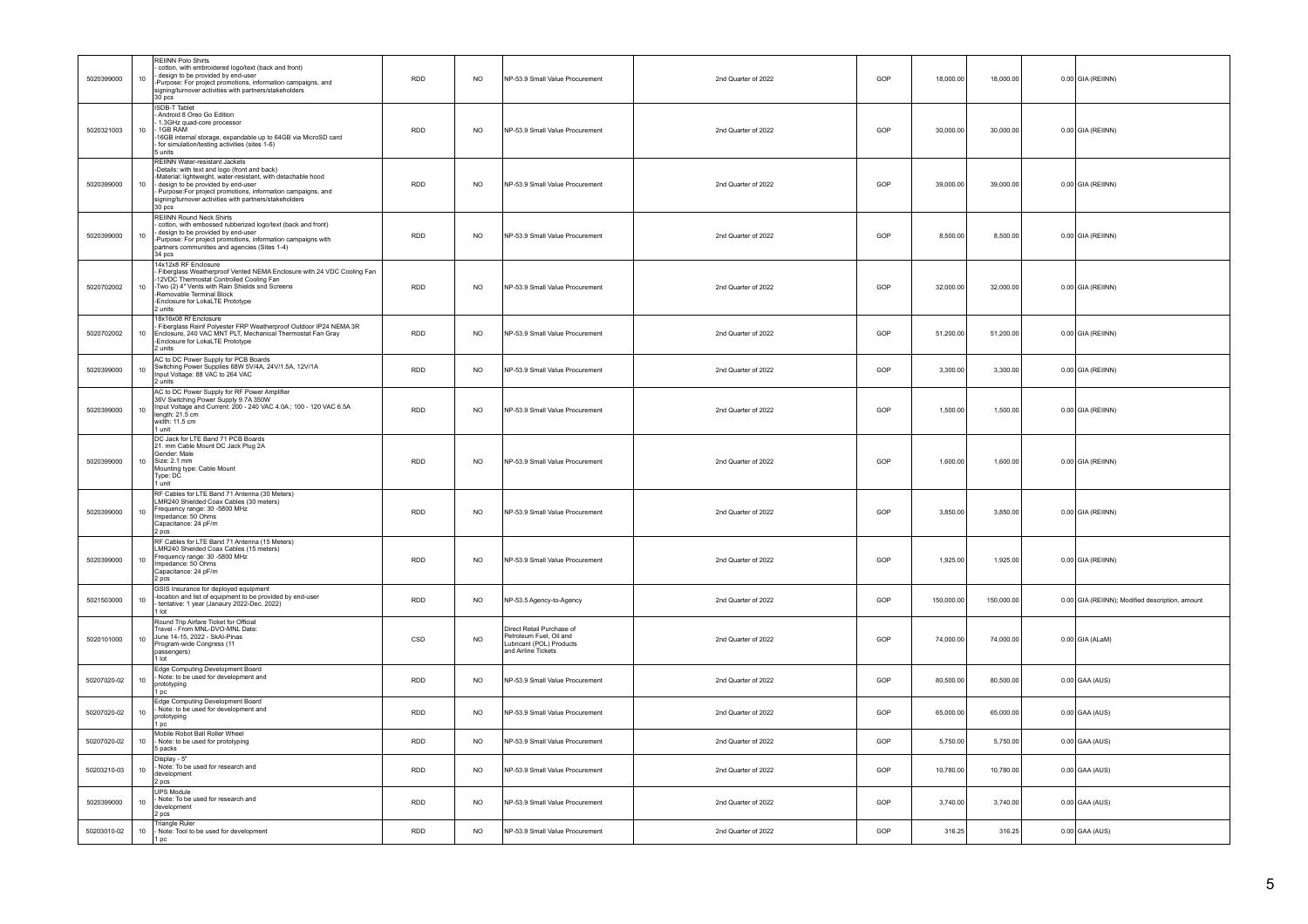| 5020399000  | 10              | <b>REIINN Polo Shirts</b><br>cotton, with embroidered logo/text (back and front)<br>design to be provided by end-user<br>Purpose: For project promotions, information campaigns, and<br>signing/turnover activities with partners/stakeholders<br>$30$ pcs                                                             | <b>RDD</b> | <b>NO</b>      | NP-53.9 Small Value Procurement                                                                         | 2nd Quarter of 2022 | GOP | 18,000.00  | 18,000.00  | $0.00$ GIA (REIINN)                             |
|-------------|-----------------|------------------------------------------------------------------------------------------------------------------------------------------------------------------------------------------------------------------------------------------------------------------------------------------------------------------------|------------|----------------|---------------------------------------------------------------------------------------------------------|---------------------|-----|------------|------------|-------------------------------------------------|
| 5020321003  | 10              | <b>ISDB-T Tablet</b><br>Android 8 Oreo Go Edition<br>1.3GHz quad-core processor<br>1GB RAM<br>16GB internal storage, expandable up to 64GB via MicroSD card<br>for simulation/testing activities (sites 1-6)<br>5 units                                                                                                | <b>RDD</b> | <b>NO</b>      | NP-53.9 Small Value Procurement                                                                         | 2nd Quarter of 2022 | GOP | 30,000.00  | 30,000.00  | $0.00$ GIA (REIINN)                             |
| 5020399000  | 10 <sub>1</sub> | REIINN Water-resistant Jackets<br>-Details: with text and logo (front and back)<br>Material: lightweight, water-resistant, with detachable hood<br>design to be provided by end-user<br>Purpose:For project promotions, information campaigns, and<br>signing/turnover activities with partners/stakeholders<br>30 pcs | <b>RDD</b> | <b>NO</b>      | NP-53.9 Small Value Procurement                                                                         | 2nd Quarter of 2022 | GOP | 39,000.00  | 39,000.00  | 0.00 GIA (REIINN)                               |
| 5020399000  | 10              | <b>REIINN Round Neck Shirts</b><br>cotton, with embossed rubberized logo/text (back and front)<br>design to be provided by end-user<br>Purpose: For project promotions, information campaigns with<br>partners communities and agencies (Sites 1-4)<br>34 pcs                                                          | RDD        | $NO$           | NP-53.9 Small Value Procurement                                                                         | 2nd Quarter of 2022 | GOP | 8,500.00   | 8,500.00   | $0.00$ GIA (REIINN)                             |
| 5020702002  | 10              | 14x12x8 RF Enclosure<br>Fiberglass Weatherproof Vented NEMA Enclosure with 24 VDC Cooling Fan<br>-12VDC Thermostat Controlled Cooling Fan<br>-Two (2) 4" Vents with Rain Shields snd Screens<br>Removable Terminal Block<br>Enclosure for LokaLTE Prototype<br>2 units                                                 | <b>RDD</b> | N <sub>O</sub> | NP-53 9 Small Value Procurement                                                                         | 2nd Quarter of 2022 | GOP | 32,000.00  | 32,000.00  | $0.00$ GIA (REIINN)                             |
| 5020702002  | 10              | 18x16x08 Rf Enclosure<br>Fiberglass Reinf Polyester FRP Weatherproof Outdoor IP24 NEMA 3R<br>Enclosure, 240 VAC MNT PLT, Mechanical Thermostat Fan Gray<br>Enclosure for LokaLTE Prototype<br>2 units                                                                                                                  | <b>RDD</b> | <b>NO</b>      | NP-53.9 Small Value Procurement                                                                         | 2nd Quarter of 2022 | GOP | 51,200.00  | 51,200.00  | $0.00$ GIA (REIINN)                             |
| 5020399000  | 10 <sub>1</sub> | AC to DC Power Supply for PCB Boards<br>Switching Power Supplies 68W 5V/4A, 24V/1.5A, 12V/1A<br>Input Voltage: 88 VAC to 264 VAC<br>2 units                                                                                                                                                                            | <b>RDD</b> | <b>NO</b>      | NP-53.9 Small Value Procurement                                                                         | 2nd Quarter of 2022 | GOP | 3,300.00   | 3,300.00   | $0.00$ GIA (REIINN)                             |
| 5020399000  | 10              | AC to DC Power Supply for RF Power Amplifier<br>36V Switching Power Supply 9.7A 350W<br>Input Voltage and Current: 200 - 240 VAC 4.0A; 100 - 120 VAC 6.5A<br>length: 21.5 cm<br>width: 11.5 cm<br>I unit                                                                                                               | RDD        | <b>NO</b>      | NP-53.9 Small Value Procurement                                                                         | 2nd Quarter of 2022 | GOP | 1,500.00   | 1,500.00   | $0.00$ GIA (REIINN)                             |
| 5020399000  | 10 <sub>1</sub> | DC Jack for LTE Band 71 PCB Boards<br>21. mm Cable Mount DC Jack Plug 2A<br>Gender: Male<br>Size: 2.1 mm<br>Mounting type: Cable Mount<br>Type: DC<br>l unit                                                                                                                                                           | RDD        | NO.            | NP-53.9 Small Value Procurement                                                                         | 2nd Quarter of 2022 | GOP | 1.600.00   | 1.600.00   | 0.00 GIA (REIINN)                               |
| 5020399000  | 10 <sup>1</sup> | RF Cables for LTE Band 71 Antenna (30 Meters)<br>LMR240 Shielded Coax Cables (30 meters)<br>Frequency range: 30 -5800 MHz<br>Impedance: 50 Ohms<br>Capacitance: 24 pF/m<br>2 pcs                                                                                                                                       | <b>RDD</b> | <b>NO</b>      | NP-53.9 Small Value Procurement                                                                         | 2nd Quarter of 2022 | GOP | 3.850.00   | 3,850.00   | 0.00 GIA (REIINN)                               |
| 5020399000  | 10 <sub>1</sub> | RF Cables for LTE Band 71 Antenna (15 Meters)<br>LMR240 Shielded Coax Cables (15 meters)<br>Frequency range: 30 -5800 MHz<br>Impedance: 50 Ohms<br>Capacitance: 24 pF/m<br>2 pcs                                                                                                                                       | <b>RDD</b> | <b>NO</b>      | NP-53.9 Small Value Procurement                                                                         | 2nd Quarter of 2022 | GOP | 1,925.00   | 1,925.00   | 0.00 GIA (REIINN)                               |
| 5021503000  | 10              | GSIS Insurance for deployed equipment<br>location and list of equipment to be provided by end-user<br>tentative: 1 year (Janaury 2022-Dec. 2022)<br>I lot                                                                                                                                                              | RDD        | <b>NO</b>      | NP-53.5 Agency-to-Agency                                                                                | 2nd Quarter of 2022 | GOP | 150,000.00 | 150,000.00 | 0.00 GIA (REIINN); Modified description, amount |
| 5020101000  | 10              | Round Trip Airfare Ticket for Official<br>Fravel - From MNL-DVO-MNL Date:<br>June 14-15, 2022 - SkAI-Pinas<br>Program-wide Congress (11<br>passengers)<br>tot I                                                                                                                                                        | CSD        | <b>NO</b>      | Direct Retail Purchase of<br>Petroleum Fuel, Oil and<br>Lubricant (POL) Products<br>and Airline Tickets | 2nd Quarter of 2022 | GOP | 74,000.00  | 74,000.00  | $0.00$ GIA (ALaM)                               |
| 50207020-02 | 10 <sub>1</sub> | Edge Computing Development Board<br>Note: to be used for development and<br>prototyping<br>1 pc                                                                                                                                                                                                                        | <b>RDD</b> | <b>NO</b>      | NP-53.9 Small Value Procurement                                                                         | 2nd Quarter of 2022 | GOP | 80,500.00  | 80,500.00  | $0.00$ GAA (AUS)                                |
| 50207020-02 | 10              | Edge Computing Development Board<br>Note: to be used for development and<br>prototyping<br>1 pc                                                                                                                                                                                                                        | <b>RDD</b> | <b>NO</b>      | NP-53.9 Small Value Procurement                                                                         | 2nd Quarter of 2022 | GOP | 65.000.00  | 65,000.00  | $0.00$ GAA (AUS)                                |
| 50207020-02 | 10 <sup>1</sup> | Mobile Robot Ball Roller Wheel<br>- Note: to be used for prototyping<br>5 packs                                                                                                                                                                                                                                        | <b>RDD</b> | <b>NO</b>      | NP-53 9 Small Value Procurement                                                                         | 2nd Quarter of 2022 | GOP | 5 750 00   | 5,750.00   | $0.00$ GAA (AUS)                                |
| 50203210-03 | 10              | Display - 5"<br>Note: To be used for research and<br>development<br>2 pcs                                                                                                                                                                                                                                              | RDD        | <b>NO</b>      | NP-53.9 Small Value Procurement                                                                         | 2nd Quarter of 2022 | GOP | 10,780.00  | 10,780.00  | $0.00$ GAA (AUS)                                |
| 5020399000  | 10 <sup>1</sup> | UPS Module<br>Note: To be used for research and<br>development<br>2 pcs                                                                                                                                                                                                                                                | <b>RDD</b> | NO.            | NP-53.9 Small Value Procurement                                                                         | 2nd Quarter of 2022 | GOP | 3 740 00   | 3,740.00   | $0.00$ GAA (AUS)                                |
| 50203010-02 | 10              | Triangle Ruler<br>Note: Tool to be used for development<br>1 pc                                                                                                                                                                                                                                                        | <b>RDD</b> | N <sub>O</sub> | NP-53.9 Small Value Procurement                                                                         | 2nd Quarter of 2022 | GOP | 316.25     | 316.25     | $0.00$ GAA (AUS)                                |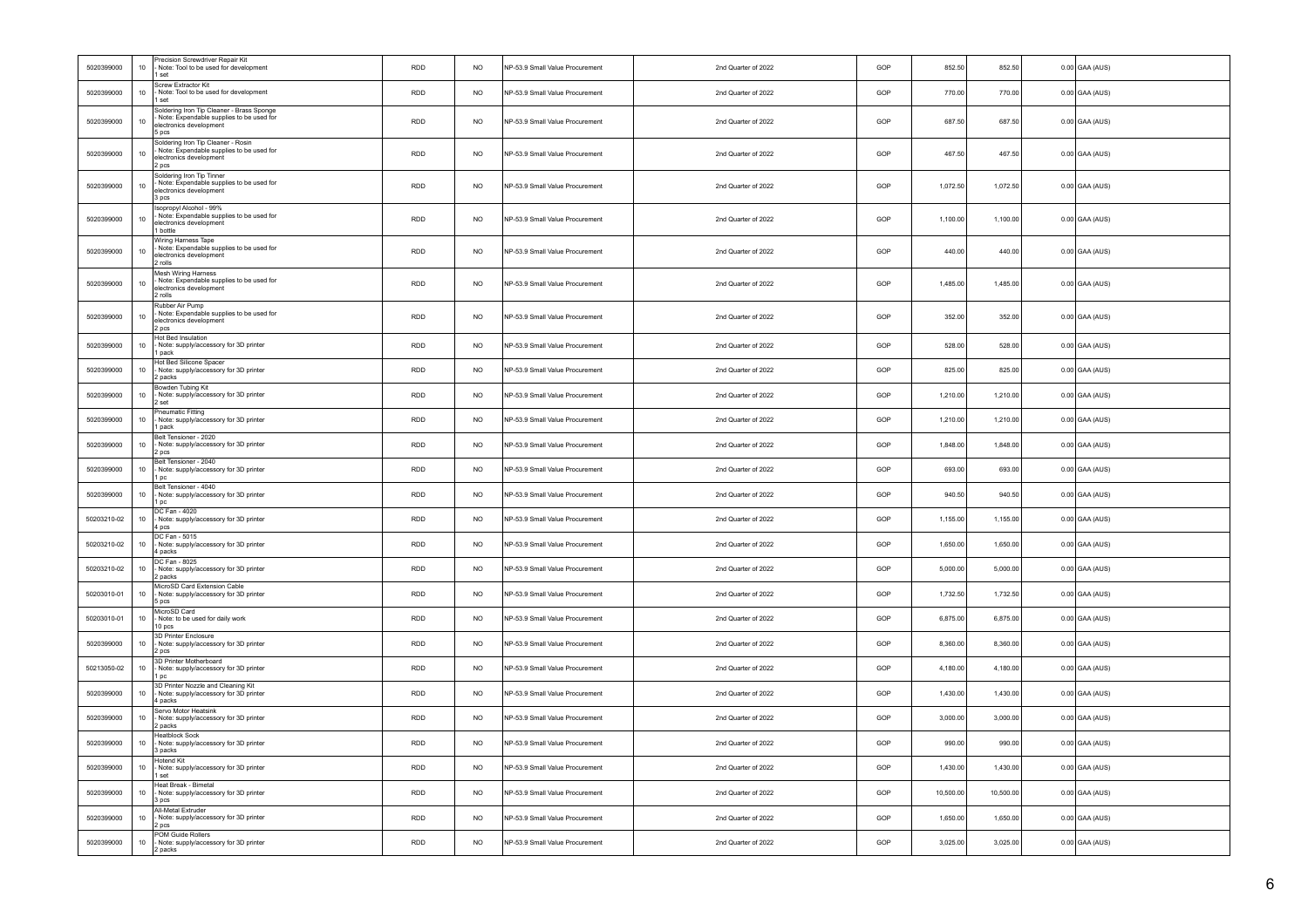| 5020399000  | $10$   | Precision Screwdriver Renair Kit<br>Note: Tool to be used for development<br>1 set                                        | <b>RDD</b> | <b>NO</b>      | NP-53.9 Small Value Procurement | 2nd Quarter of 2022 | GOP | 852.50    | 852.50    | $0.00$ GAA (AUS) |
|-------------|--------|---------------------------------------------------------------------------------------------------------------------------|------------|----------------|---------------------------------|---------------------|-----|-----------|-----------|------------------|
| 5020399000  | $10$   | Screw Extractor Kit<br>Note: Tool to be used for development<br>1 set                                                     | <b>RDD</b> | <b>NO</b>      | NP-53.9 Small Value Procurement | 2nd Quarter of 2022 | GOP | 770.00    | 770.00    | $0.00$ GAA (AUS) |
| 5020399000  | $10$   | Soldering Iron Tip Cleaner - Brass Sponge<br>Note: Expendable supplies to be used for<br>electronics development<br>5 pcs | <b>RDD</b> | <b>NO</b>      | NP-53.9 Small Value Procurement | 2nd Quarter of 2022 | GOP | 687.50    | 687.50    | $0.00$ GAA (AUS) |
| 5020399000  | $10$   | Soldering Iron Tip Cleaner - Rosin<br>Note: Expendable supplies to be used for<br>electronics development<br>2 pcs        | <b>RDD</b> | <b>NO</b>      | NP-53.9 Small Value Procurement | 2nd Quarter of 2022 | GOP | 467.50    | 467.50    | $0.00$ GAA (AUS) |
| 5020399000  | $10$   | Soldering Iron Tip Tinner<br>Note: Expendable supplies to be used for<br>electronics development<br>3 pcs                 | RDD        | <b>NO</b>      | NP-53.9 Small Value Procurement | 2nd Quarter of 2022 | GOP | 1,072.50  | 1,072.50  | $0.00$ GAA (AUS) |
| 5020399000  | $10\,$ | Isopropyl Alcohol - 99%<br>Note: Expendable supplies to be used for<br>electronics development<br>1 bottle                | <b>RDD</b> | <b>NO</b>      | NP-53.9 Small Value Procurement | 2nd Quarter of 2022 | GOP | 1,100.00  | 1,100.00  | $0.00$ GAA (AUS) |
| 5020399000  | $10$   | Wiring Harness Tape<br>Note: Expendable supplies to be used for<br>electronics development<br>2 rolls                     | RDD        | $NO$           | NP-53.9 Small Value Procurement | 2nd Quarter of 2022 | GOP | 440.00    | 440.00    | $0.00$ GAA (AUS) |
| 5020399000  | 10     | Mesh Wiring Harness<br>Note: Expendable supplies to be used for<br>electronics development<br>2 rolls                     | <b>RDD</b> | <b>NO</b>      | NP-53.9 Small Value Procurement | 2nd Quarter of 2022 | GOP | 1,485.00  | 1,485.00  | $0.00$ GAA (AUS) |
| 5020399000  | $10$   | Rubber Air Pump<br>- Note: Expendable supplies to be used for<br>electronics development<br>2 pcs                         | <b>RDD</b> | <b>NO</b>      | NP-53.9 Small Value Procurement | 2nd Quarter of 2022 | GOP | 352.00    | 352.00    | $0.00$ GAA (AUS) |
| 5020399000  | 10     | Hot Bed Insulation<br>Note: supply/accessory for 3D printer<br>1 pack                                                     | RDD        | $NO$           | NP-53.9 Small Value Procurement | 2nd Quarter of 2022 | GOP | 528.00    | 528.00    | $0.00$ GAA (AUS) |
| 5020399000  | $10$   | Hot Bed Silicone Spacer<br>Note: supply/accessory for 3D printer<br>2 packs                                               | <b>RDD</b> | <b>NO</b>      | NP-53.9 Small Value Procurement | 2nd Quarter of 2022 | GOP | 825.00    | 825.00    | $0.00$ GAA (AUS) |
| 5020399000  | 10     | Bowden Tubing Kit<br>Note: supply/accessory for 3D printer<br>2 set                                                       | <b>RDD</b> | N <sub>O</sub> | NP-53.9 Small Value Procurement | 2nd Quarter of 2022 | GOP | 1,210.00  | 1,210.00  | $0.00$ GAA (AUS) |
| 5020399000  | $10\,$ | Pneumatic Fitting<br>Note: supply/accessory for 3D printer<br>1 pack                                                      | RDD        | <b>NO</b>      | NP-53.9 Small Value Procurement | 2nd Quarter of 2022 | GOP | 1,210.00  | 1,210.00  | $0.00$ GAA (AUS) |
| 5020399000  | 10     | Belt Tensioner - 2020<br>Note: supply/accessory for 3D printer<br>2 pcs                                                   | <b>RDD</b> | <b>NO</b>      | NP-53.9 Small Value Procurement | 2nd Quarter of 2022 | GOP | 1,848.00  | 1,848.00  | $0.00$ GAA (AUS) |
| 5020399000  | $10$   | Belt Tensioner - 2040<br>- Note: supply/accessory for 3D printer<br>1 pc                                                  | <b>RDD</b> | <b>NO</b>      | NP-53.9 Small Value Procurement | 2nd Quarter of 2022 | GOP | 693.00    | 693.00    | $0.00$ GAA (AUS) |
| 5020399000  | $10\,$ | Belt Tensioner - 4040<br>Note: supply/accessory for 3D printer<br>1 <sub>DC</sub>                                         | <b>RDD</b> | <b>NO</b>      | NP-53.9 Small Value Procurement | 2nd Quarter of 2022 | GOP | 940.50    | 940.50    | $0.00$ GAA (AUS) |
| 50203210-02 | $10$   | DC Fan - 4020<br>Note: supply/accessory for 3D printer<br>4 pcs                                                           | <b>RDD</b> | <b>NO</b>      | NP-53.9 Small Value Procurement | 2nd Quarter of 2022 | GOP | 1,155.00  | 1,155.00  | $0.00$ GAA (AUS) |
| 50203210-02 | $10$   | DC Fan - 5015<br>Note: supply/accessory for 3D printer<br>4 packs                                                         | RDD        | <b>NO</b>      | NP-53.9 Small Value Procurement | 2nd Quarter of 2022 | GOP | 1,650.00  | 1,650.00  | $0.00$ GAA (AUS) |
| 50203210-02 | $10\,$ | DC Fan - 8025<br>Note: supply/accessory for 3D printer<br>2 packs                                                         | <b>RDD</b> | N <sub>O</sub> | NP-53.9 Small Value Procurement | 2nd Quarter of 2022 | GOP | 5,000.00  | 5,000.00  | $0.00$ GAA (AUS) |
| 50203010-01 | $10\,$ | MicroSD Card Extension Cable<br>Note: supply/accessory for 3D printer<br>5 pcs                                            | <b>RDD</b> | <b>NO</b>      | NP-53.9 Small Value Procurement | 2nd Quarter of 2022 | GOP | 1,732.50  | 1,732.50  | $0.00$ GAA (AUS) |
| 50203010-01 | $10\,$ | MicroSD Card<br>Note: to be used for daily work<br>10 pcs                                                                 | <b>RDD</b> | <b>NO</b>      | NP-53.9 Small Value Procurement | 2nd Quarter of 2022 | GOP | 6,875.00  | 6,875.00  | $0.00$ GAA (AUS) |
| 5020399000  | 10     | 3D Printer Enclosure<br>Note: supply/accessory for 3D printer<br>2 pcs                                                    | <b>RDD</b> | <b>NO</b>      | NP-53.9 Small Value Procurement | 2nd Quarter of 2022 | GOP | 8,360.00  | 8,360.00  | $0.00$ GAA (AUS) |
| 50213050-02 | $10\,$ | 3D Printer Motherboard<br>Note: supply/accessory for 3D printer<br>1 pc                                                   | <b>RDD</b> | <b>NO</b>      | NP-53.9 Small Value Procurement | 2nd Quarter of 2022 | GOP | 4,180.00  | 4,180.00  | $0.00$ GAA (AUS) |
| 5020399000  | 10     | 3D Printer Nozzle and Cleaning Kit<br>Note: supply/accessory for 3D printer<br>4 packs                                    | RDD        | <b>NO</b>      | NP-53.9 Small Value Procurement | 2nd Quarter of 2022 | GOP | 1,430.00  | 1,430.00  | $0.00$ GAA (AUS) |
| 5020399000  | $10$   | Servo Motor Heatsink<br>Note: supply/accessory for 3D printer<br>2 packs                                                  | RDD        | <b>NO</b>      | NP-53.9 Small Value Procurement | 2nd Quarter of 2022 | GOP | 3,000.00  | 3,000.00  | $0.00$ GAA (AUS) |
| 5020399000  | 10     | <b>Heatblock Sock</b><br>Note: supply/accessory for 3D printer<br>3 packs                                                 | <b>RDD</b> | <b>NO</b>      | NP-53.9 Small Value Procurement | 2nd Quarter of 2022 | GOP | 990.00    | 990.00    | $0.00$ GAA (AUS) |
| 5020399000  | 10     | <b>Hotend Kit</b><br>Note: supply/accessory for 3D printer<br>1 set                                                       | <b>RDD</b> | <b>NO</b>      | NP-53.9 Small Value Procurement | 2nd Quarter of 2022 | GOP | 1,430.00  | 1,430.00  | $0.00$ GAA (AUS) |
| 5020399000  | $10\,$ | Heat Break - Bimetal<br>Note: supply/accessory for 3D printer<br>3 pcs                                                    | RDD        | <b>NO</b>      | NP-53.9 Small Value Procurement | 2nd Quarter of 2022 | GOP | 10,500.00 | 10,500.00 | $0.00$ GAA (AUS) |
| 5020399000  | 10     | All-Metal Extruder<br>Note: supply/accessory for 3D printer<br>2 pcs                                                      | <b>RDD</b> | <b>NO</b>      | NP-53.9 Small Value Procurement | 2nd Quarter of 2022 | GOP | 1,650.00  | 1,650.00  | $0.00$ GAA (AUS) |
| 5020399000  | $10$   | POM Guide Rollers<br>Note: supply/accessory for 3D printer<br>2 packs                                                     | <b>RDD</b> | <b>NO</b>      | NP-53.9 Small Value Procurement | 2nd Quarter of 2022 | GOP | 3,025.00  | 3,025.00  | $0.00$ GAA (AUS) |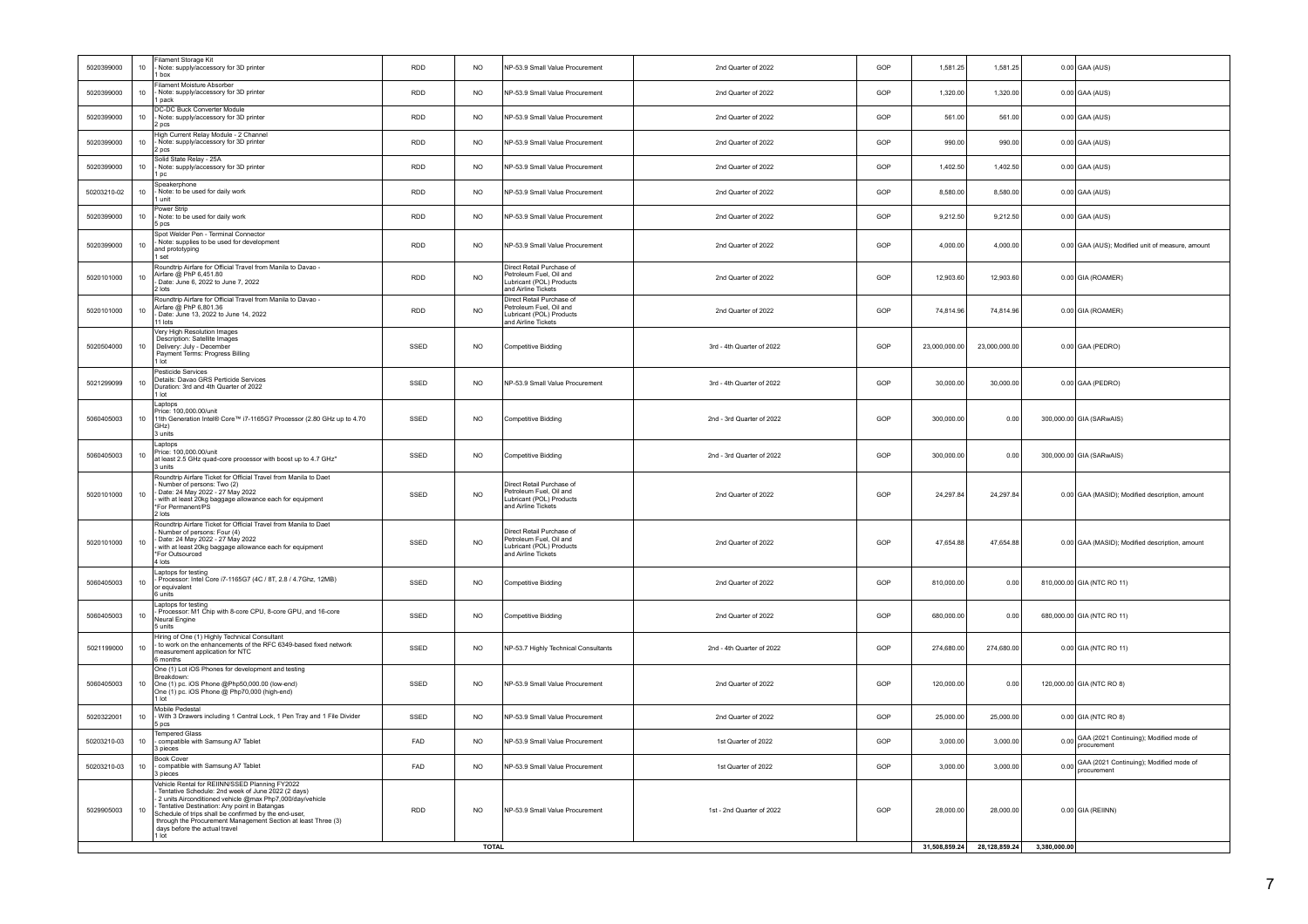| 5020399000  | $10\,$ | Filament Storage Kit<br>Note: supply/accessory for 3D printer<br>1 box                                                                                                                                                                                                                                                                                                                 | <b>RDD</b>    | <b>NO</b>       | NP-53.9 Small Value Procurement                                                                         | 2nd Quarter of 2022       | GOP | 1,581.25      | 1,581.25      | $0.00$ GAA (AUS)                                            |
|-------------|--------|----------------------------------------------------------------------------------------------------------------------------------------------------------------------------------------------------------------------------------------------------------------------------------------------------------------------------------------------------------------------------------------|---------------|-----------------|---------------------------------------------------------------------------------------------------------|---------------------------|-----|---------------|---------------|-------------------------------------------------------------|
| 5020399000  | 10     | Filament Moisture Absorber<br>Note: supply/accessory for 3D printer<br>1 pack                                                                                                                                                                                                                                                                                                          | <b>RDD</b>    | N <sub>O</sub>  | NP-53.9 Small Value Procurement                                                                         | 2nd Quarter of 2022       | GOP | 1,320.00      | 1,320.00      | $0.00$ GAA (AUS)                                            |
| 5020399000  | 10     | DC-DC Buck Converter Module<br>Note: supply/accessory for 3D printer<br>2 pcs                                                                                                                                                                                                                                                                                                          | RDD           | <b>NO</b>       | VP-53.9 Small Value Procurement                                                                         | 2nd Quarter of 2022       | GOP | 561.00        | 561.00        | $0.00$ GAA (AUS)                                            |
| 5020399000  | 10     | High Current Relay Module - 2 Channel<br>Note: supply/accessory for 3D printer<br>2 pcs                                                                                                                                                                                                                                                                                                | RDD           | N <sub>O</sub>  | NP-53.9 Small Value Procurement                                                                         | 2nd Quarter of 2022       | GOP | 990.00        | 990.00        | $0.00$ GAA (AUS)                                            |
| 5020399000  | 10     | Solid State Relay - 25A<br>Note: supply/accessory for 3D printer<br>1 pc                                                                                                                                                                                                                                                                                                               | <b>RDD</b>    | N <sub>O</sub>  | VP-53.9 Small Value Procurement                                                                         | 2nd Quarter of 2022       | GOP | 1,402.50      | 1,402.50      | $0.00$ GAA (AUS)                                            |
| 50203210-02 | 10     | Speakerphone<br>Note: to be used for daily work<br>1 unit                                                                                                                                                                                                                                                                                                                              | <b>RDD</b>    | NO.             | VP-53.9 Small Value Procurement                                                                         | 2nd Quarter of 2022       | GOP | 8,580.00      | 8,580.00      | $0.00$ GAA (AUS)                                            |
| 5020399000  | $10$   | Power Strip<br>Note: to be used for daily work<br>5 pcs                                                                                                                                                                                                                                                                                                                                | RDD           | <b>NO</b>       | NP-53 9 Small Value Procurement                                                                         | 2nd Quarter of 2022       | GOP | 9,212.50      | 9,212.50      | $0.00$ GAA (AUS)                                            |
| 5020399000  | 10     | Spot Welder Pen - Terminal Connector<br>Note: supplies to be used for development<br>and prototyping<br>1 set                                                                                                                                                                                                                                                                          | <b>RDD</b>    | NO.             | NP-53.9 Small Value Procurement                                                                         | 2nd Quarter of 2022       | GOP | 4,000.00      | 4,000.00      | 0.00 GAA (AUS); Modified unit of measure, amount            |
| 5020101000  | 10     | Roundtrip Airfare for Official Travel from Manila to Davao -<br>Airfare @ PhP 6,451.80<br>Date: June 6, 2022 to June 7, 2022<br>2 lots                                                                                                                                                                                                                                                 | <b>RDD</b>    | <b>NO</b>       | Direct Retail Purchase of<br>Petroleum Fuel, Oil and<br>Lubricant (POL) Products<br>and Airline Tickets | 2nd Quarter of 2022       | GOP | 12,903.60     | 12,903.60     | 0.00 GIA (ROAMER)                                           |
| 5020101000  | 10     | Roundtrip Airfare for Official Travel from Manila to Davao -<br>Airfare @ PhP 6,801.36<br>Date: June 13, 2022 to June 14, 2022<br>11 lots                                                                                                                                                                                                                                              | <b>RDD</b>    | N <sub>O</sub>  | Direct Retail Purchase of<br>Petroleum Fuel, Oil and<br>ubricant (POL) Products<br>and Airline Tickets  | 2nd Quarter of 2022       | GOP | 74 814 96     | 74 814 96     | 0.00 GIA (ROAMER)                                           |
| 5020504000  | $10\,$ | Very High Resolution Images<br>Description: Satellite Images<br>Delivery: July - December<br>Payment Terms: Progress Billing<br>$1$ Int                                                                                                                                                                                                                                                | SSED          | <b>NO</b>       | Competitive Bidding                                                                                     | 3rd - 4th Quarter of 2022 | GOP | 23,000,000.00 | 23,000,000.00 | 0.00 GAA (PEDRO)                                            |
| 5021299099  | $10$   | Pesticide Services<br>Details: Davao GRS Perticide Services<br>Duration: 3rd and 4th Quarter of 2022<br>1 lot                                                                                                                                                                                                                                                                          | SSED          | NO <sub>1</sub> | NP-53 9 Small Value Procurement                                                                         | 3rd - 4th Quarter of 2022 | GOP | 30,000.00     | 30,000.00     | 0.00 GAA (PEDRO)                                            |
| 5060405003  | 10     | Laptops<br>Price: 100,000.00/unit<br>11th Generation Intel® Core™ i7-1165G7 Processor (2.80 GHz up to 4.70<br>GHz)<br>3 units                                                                                                                                                                                                                                                          | SSED          | NO.             | Competitive Bidding                                                                                     | 2nd - 3rd Quarter of 2022 | GOP | 300,000.00    | 0.00          | 300,000.00 GIA (SARwAIS)                                    |
| 5060405003  | 10     | Laptops<br>Price: 100,000.00/unit<br>at least 2.5 GHz quad-core processor with boost up to 4.7 GHz"<br>3 units                                                                                                                                                                                                                                                                         | SSED          | <b>NO</b>       | Competitive Bidding                                                                                     | 2nd - 3rd Quarter of 2022 | GOP | 300,000.00    | 0.00          | 300,000.00 GIA (SARwAIS)                                    |
| 5020101000  | 10     | Roundtrip Airfare Ticket for Official Travel from Manila to Daet<br>Number of persons: Two (2)<br>Date: 24 May 2022 - 27 May 2022<br>with at least 20kg baggage allowance each for equipment<br>*For Permanent/PS<br>2 lots                                                                                                                                                            | SSED          | <b>NO</b>       | Direct Retail Purchase of<br>Petroleum Fuel, Oil and<br>ubricant (POL) Products<br>and Airline Tickets  | 2nd Quarter of 2022       | GOP | 24 297 84     | 24.297.84     | 0.00 GAA (MASID); Modified description, amount              |
| 5020101000  | 10     | Roundtrip Airfare Ticket for Official Travel from Manila to Daet<br>Number of persons: Four (4)<br>Date: 24 May 2022 - 27 May 2022<br>with at least 20kg baggage allowance each for equipment<br>*For Outsourced<br>4 lots                                                                                                                                                             | SSED          | NO.             | Direct Retail Purchase of<br>Petroleum Fuel, Oil and<br>Lubricant (POL) Products<br>and Airline Tickets | 2nd Quarter of 2022       | GOP | 47,654.88     | 47,654.88     | 0.00 GAA (MASID); Modified description, amount              |
| 5060405003  | $10$   | Laptops for testing<br>- Processor: Intel Core i7-1165G7 (4C / 8T, 2.8 / 4.7Ghz, 12MB)<br>or equivalent<br>6 units                                                                                                                                                                                                                                                                     | SSED          | <b>NO</b>       | Competitive Bidding                                                                                     | 2nd Quarter of 2022       | GOP | 810,000.00    | 0.00          | 810,000.00 GIA (NTC RO 11)                                  |
| 5060405003  | $10$   | Laptops for testing<br>- Processor: M1 Chip with 8-core CPU, 8-core GPU, and 16-core<br>Neural Engine<br>5 units                                                                                                                                                                                                                                                                       | SSED          | N <sub>O</sub>  | <b>Competitive Bidding</b>                                                                              | 2nd Quarter of 2022       | GOP | 680,000.00    | 0.00          | 680,000.00 GIA (NTC RO 11)                                  |
| 5021199000  | $10\,$ | Hiring of One (1) Highly Technical Consultant<br>- to work on the enhancements of the RFC 6349-based fixed network<br>measurement application for NTC<br>6 months                                                                                                                                                                                                                      | SSED          | N <sub>O</sub>  | NP-53.7 Highly Technical Consultants                                                                    | 2nd - 4th Quarter of 2022 | GOP | 274,680.00    | 274,680.00    | 0.00 GIA (NTC RO 11)                                        |
| 5060405003  | 10     | One (1) Lot iOS Phones for development and testing<br>Breakdown:<br>One (1) pc. iOS Phone @Php50,000.00 (low-end)<br>One (1) pc. iOS Phone @ Php70,000 (high-end)<br>$1$ Int                                                                                                                                                                                                           | SSED          | NO              | NP-53.9 Small Value Procurement                                                                         | 2nd Quarter of 2022       | GOP | 120,000.00    | 0.00          | 120,000.00 GIA (NTC RO 8)                                   |
| 5020322001  | 10     | Mobile Pedestal<br>With 3 Drawers including 1 Central Lock, 1 Pen Tray and 1 File Divider<br>5 pcs                                                                                                                                                                                                                                                                                     | SSED          | NO.             | VP-53.9 Small Value Procurement                                                                         | 2nd Quarter of 2022       | GOP | 25,000.00     | 25,000.00     | 0.00 GIA (NTC RO 8)                                         |
| 50203210-03 | 10     | <b>Tempered Glass</b><br>compatible with Samsung A7 Tablet<br>3 pieces                                                                                                                                                                                                                                                                                                                 | FAD           | N <sub>O</sub>  | NP-53.9 Small Value Procurement                                                                         | 1st Quarter of 2022       | GOP | 3,000.00      | 3,000.00      | 0.00 GAA (2021 Continuing); Modified mode of<br>procurement |
| 50203210-03 | $10\,$ | <b>Book Cover</b><br>compatible with Samsung A7 Tablet<br>3 pieces                                                                                                                                                                                                                                                                                                                     | FAD           | <b>NO</b>       | NP-53.9 Small Value Procurement                                                                         | 1st Quarter of 2022       | GOP | 3,000.00      | 3,000.00      | 0.00 GAA (2021 Continuing); Modified mode of<br>procurement |
| 5029905003  | 10     | Vehicle Rental for REIINN/SSED Planning FY2022<br>Tentative Schedule: 2nd week of June 2022 (2 days)<br>2 units Airconditioned vehicle @max Php7,000/day/vehicle<br>Tentative Destination: Any point in Batangas<br>Schedule of trips shall be confirmed by the end-user,<br>through the Procurement Management Section at least Three (3)<br>days before the actual travel<br>$1$ lot | <b>RDD</b>    | <b>NO</b>       | NP-53.9 Small Value Procurement                                                                         | 1st - 2nd Quarter of 2022 | GOP | 28,000.00     | 28,000.00     | $0.00$ GIA (REIINN)                                         |
|             |        |                                                                                                                                                                                                                                                                                                                                                                                        | 31,508,859.24 | 28,128,859.24   | 3,380,000.00                                                                                            |                           |     |               |               |                                                             |